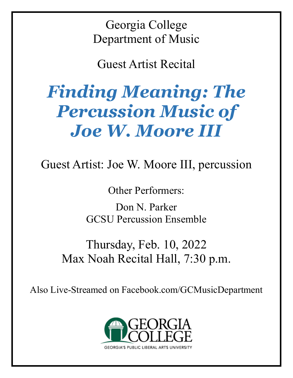Georgia College Department of Music

Guest Artist Recital

# *Finding Meaning: The Percussion Music of Joe W. Moore III*

Guest Artist: Joe W. Moore III, percussion

Other Performers:

Don N. Parker GCSU Percussion Ensemble

Thursday, Feb. 10, 2022 Max Noah Recital Hall, 7:30 p.m.

Also Live-Streamed on Facebook.com/GCMusicDepartment

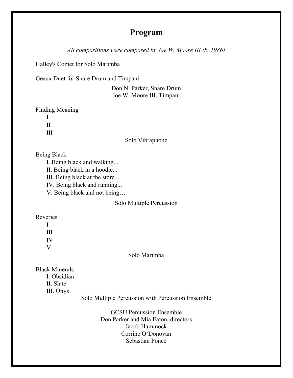# **Program**

*All compositions were composed by Joe W. Moore III (b. 1986)*

Halley's Comet for Solo Marimba

Geaux Duet for Snare Drum and Timpani

Don N. Parker, Snare Drum Joe W. Moore III, Timpani

Finding Meaning

 I II III

## Solo Vibraphone

Being Black

I. Being black and walking...

II. Being black in a hoodie...

III. Being black at the store...

IV. Being black and running...

V. Being black and not being…

# Solo Multiple Percussion

Reveries

 I III IV V

Solo Marimba

Black Minerals I. Obsidian II. Slate III. Onyx

Solo Multiple Percussion with Percussion Ensemble

GCSU Percussion Ensemble Don Parker and Mia Eaton, directors Jacob Hammock Corrine O'Donovan Sebastian Ponce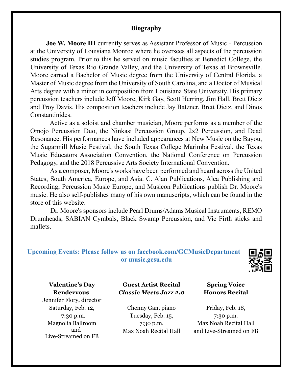## **Biography**

**Joe W. Moore III** currently serves as Assistant Professor of Music - Percussion at the University of Louisiana Monroe where he oversees all aspects of the percussion studies program. Prior to this he served on music faculties at Benedict College, the University of Texas Rio Grande Valley, and the University of Texas at Brownsville. Moore earned a Bachelor of Music degree from the University of Central Florida, a Master of Music degree from the University of South Carolina, and a Doctor of Musical Arts degree with a minor in composition from Louisiana State University. His primary percussion teachers include Jeff Moore, Kirk Gay, Scott Herring, Jim Hall, Brett Dietz and Troy Davis. His composition teachers include Jay Batzner, Brett Dietz, and Dinos Constantinides.

 Active as a soloist and chamber musician, Moore performs as a member of the Omojo Percussion Duo, the Ninkasi Percussion Group, 2x2 Percussion, and Dead Resonance. His performances have included appearances at New Music on the Bayou, the Sugarmill Music Festival, the South Texas College Marimba Festival, the Texas Music Educators Association Convention, the National Conference on Percussion Pedagogy, and the 2018 Percussive Arts Society International Convention.

 As a composer, Moore's works have been performed and heard across the United States, South America, Europe, and Asia. C. Alan Publications, Alea Publishing and Recording, Percussion Music Europe, and Musicon Publications publish Dr. Moore's music. He also self-publishes many of his own manuscripts, which can be found in the store of this website.

 Dr. Moore's sponsors include Pearl Drums/Adams Musical Instruments, REMO Drumheads, SABIAN Cymbals, Black Swamp Percussion, and Vic Firth sticks and mallets.

# **Upcoming Events: Please follow us on facebook.com/GCMusicDepartment or music.gcsu.edu**



**Valentine's Day Rendezvous** Jennifer Flory, director Saturday, Feb. 12, 7:30 p.m. Magnolia Ballroom and Live-Streamed on FB

**Guest Artist Recital** *Classic Meets Jazz 2.0*

Chenny Gan, piano Tuesday, Feb. 15, 7:30 p.m. Max Noah Recital Hall

**Spring Voice Honors Recital**

Friday, Feb. 18, 7:30 p.m. Max Noah Recital Hall and Live-Streamed on FB